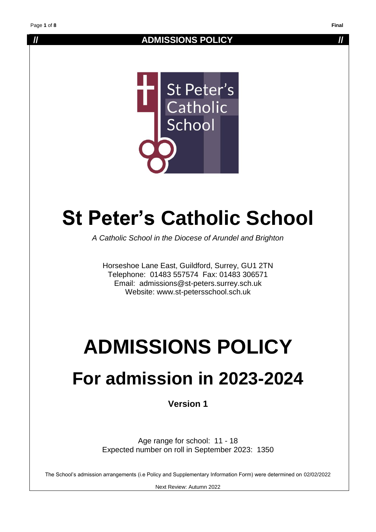#### **// ADMISSIONS POLICY //**



# **St Peter's Catholic School**

*A Catholic School in the Diocese of Arundel and Brighton*

Horseshoe Lane East, Guildford, Surrey, GU1 2TN Telephone: 01483 557574 Fax: 01483 306571 Email: admissions@st-peters.surrey.sch.uk Website: www.st-petersschool.sch.uk

# **ADMISSIONS POLICY**

### **For admission in 2023-2024**

**Version 1**

Age range for school: 11 - 18 Expected number on roll in September 2023: 1350

The School's admission arrangements (i.e Policy and Supplementary Information Form) were determined on 02/02/2022

Next Review: Autumn 2022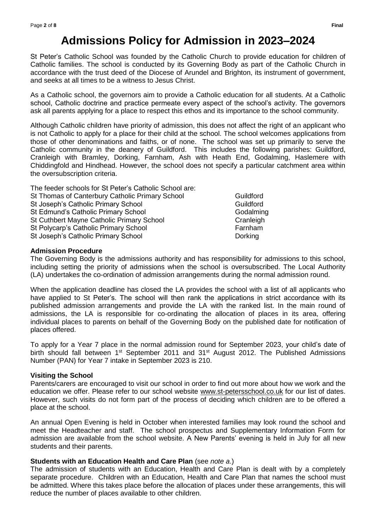### **Admissions Policy for Admission in 2023–2024**

St Peter's Catholic School was founded by the Catholic Church to provide education for children of Catholic families. The school is conducted by its Governing Body as part of the Catholic Church in accordance with the trust deed of the Diocese of Arundel and Brighton, its instrument of government, and seeks at all times to be a witness to Jesus Christ.

As a Catholic school, the governors aim to provide a Catholic education for all students. At a Catholic school, Catholic doctrine and practice permeate every aspect of the school's activity. The governors ask all parents applying for a place to respect this ethos and its importance to the school community.

Although Catholic children have priority of admission, this does not affect the right of an applicant who is not Catholic to apply for a place for their child at the school. The school welcomes applications from those of other denominations and faiths, or of none. The school was set up primarily to serve the Catholic community in the deanery of Guildford. This includes the following parishes: Guildford, Cranleigh with Bramley, Dorking, Farnham, Ash with Heath End, Godalming, Haslemere with Chiddingfold and Hindhead. However, the school does not specify a particular catchment area within the oversubscription criteria.

| The feeder schools for St Peter's Catholic School are: |           |
|--------------------------------------------------------|-----------|
| St Thomas of Canterbury Catholic Primary School        | Guildford |
| St Joseph's Catholic Primary School                    | Guildford |
| St Edmund's Catholic Primary School                    | Godalming |
| St Cuthbert Mayne Catholic Primary School              | Cranleigh |
| St Polycarp's Catholic Primary School                  | Farnham   |
| St Joseph's Catholic Primary School                    | Dorking   |
|                                                        |           |

#### **Admission Procedure**

The Governing Body is the admissions authority and has responsibility for admissions to this school, including setting the priority of admissions when the school is oversubscribed. The Local Authority (LA) undertakes the co-ordination of admission arrangements during the normal admission round.

When the application deadline has closed the LA provides the school with a list of all applicants who have applied to St Peter's. The school will then rank the applications in strict accordance with its published admission arrangements and provide the LA with the ranked list. In the main round of admissions, the LA is responsible for co-ordinating the allocation of places in its area, offering individual places to parents on behalf of the Governing Body on the published date for notification of places offered.

To apply for a Year 7 place in the normal admission round for September 2023, your child's date of birth should fall between 1<sup>st</sup> September 2011 and 31<sup>st</sup> August 2012. The Published Admissions Number (PAN) for Year 7 intake in September 2023 is 210.

#### **Visiting the School**

Parents/carers are encouraged to visit our school in order to find out more about how we work and the education we offer. Please refer to our school website [www.st-petersschool.co.uk](http://www.st-petersschool.co.uk/) for our list of dates. However, such visits do not form part of the process of deciding which children are to be offered a place at the school.

An annual Open Evening is held in October when interested families may look round the school and meet the Headteacher and staff. The school prospectus and Supplementary Information Form for admission are available from the school website. A New Parents' evening is held in July for all new students and their parents.

#### **Students with an Education Health and Care Plan** (see *note a*.)

The admission of students with an Education, Health and Care Plan is dealt with by a completely separate procedure. Children with an Education, Health and Care Plan that names the school must be admitted. Where this takes place before the allocation of places under these arrangements, this will reduce the number of places available to other children.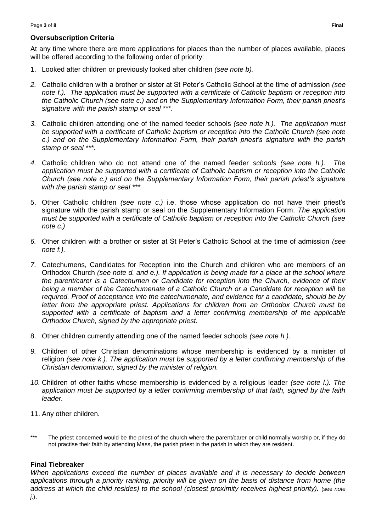#### **Oversubscription Criteria**

At any time where there are more applications for places than the number of places available, places will be offered according to the following order of priority:

- 1. Looked after children or previously looked after children *(see note b).*
- *2.* Catholic children with a brother or sister at St Peter's Catholic School at the time of admission *(see note f.). The application must be supported with a certificate of Catholic baptism or reception into the Catholic Church (see note c.) and on the Supplementary Information Form, their parish priest's signature with the parish stamp or seal \*\*\*.*
- *3.* Catholic children attending one of the named feeder schools *(see note h.). The application must be supported with a certificate of Catholic baptism or reception into the Catholic Church (see note c.) and on the Supplementary Information Form, their parish priest's signature with the parish stamp or seal \*\*\*.*
- *4.* Catholic children who do not attend one of the named feeder *schools (see note h.). The application must be supported with a certificate of Catholic baptism or reception into the Catholic Church (see note c.) and on the Supplementary Information Form, their parish priest's signature with the parish stamp or seal \*\*\*.*
- 5. Other Catholic children *(see note c.)* i.e. those whose application do not have their priest's signature with the parish stamp or seal on the Supplementary Information Form. *The application must be supported with a certificate of Catholic baptism or reception into the Catholic Church (see note c.)*
- *6.* Other children with a brother or sister at St Peter's Catholic School at the time of admission *(see note f.).*
- *7.* Catechumens, Candidates for Reception into the Church and children who are members of an Orthodox Church *(see note d. and e.). If application is being made for a place at the school where the parent/carer is a Catechumen or Candidate for reception into the Church, evidence of their being a member of the Catechumenate of a Catholic Church or a Candidate for reception will be required. Proof of acceptance into the catechumenate, and evidence for a candidate, should be by*  letter from the appropriate priest. Applications for children from an Orthodox Church must be *supported with a certificate of baptism and a letter confirming membership of the applicable Orthodox Church, signed by the appropriate priest.*
- 8. Other children currently attending one of the named feeder schools *(see note h.).*
- *9.* Children of other Christian denominations whose membership is evidenced by a minister of religion *(see note k.). The application must be supported by a letter confirming membership of the Christian denomination, signed by the minister of religion.*
- *10.* Children of other faiths whose membership is evidenced by a religious leader *(see note l.). The application must be supported by a letter confirming membership of that faith, signed by the faith leader.*
- 11. Any other children.
- \*\*\* The priest concerned would be the priest of the church where the parent/carer or child normally worship or, if they do not practise their faith by attending Mass, the parish priest in the parish in which they are resident.

#### **Final Tiebreaker**

*When applications exceed the number of places available and it is necessary to decide between applications through a priority ranking, priority will be given on the basis of distance from home (the address at which the child resides) to the school (closest proximity receives highest priority).* (see *note j.*).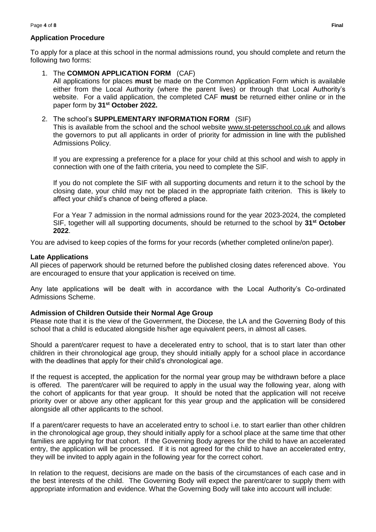#### **Application Procedure**

To apply for a place at this school in the normal admissions round, you should complete and return the following two forms:

#### 1. The **COMMON APPLICATION FORM** (CAF)

All applications for places **must** be made on the Common Application Form which is available either from the Local Authority (where the parent lives) or through that Local Authority's website. For a valid application, the completed CAF **must** be returned either online or in the paper form by **31st October 2022.**

#### 2. The school's **SUPPLEMENTARY INFORMATION FORM** (SIF)

This is available from the school and the school website [www.st-petersschool.co.uk](http://www.st-petersschool.co.uk/) and allows the governors to put all applicants in order of priority for admission in line with the published Admissions Policy.

If you are expressing a preference for a place for your child at this school and wish to apply in connection with one of the faith criteria, you need to complete the SIF.

If you do not complete the SIF with all supporting documents and return it to the school by the closing date, your child may not be placed in the appropriate faith criterion. This is likely to affect your child's chance of being offered a place.

For a Year 7 admission in the normal admissions round for the year 2023-2024, the completed SIF, together will all supporting documents, should be returned to the school by **31st October 2022**.

You are advised to keep copies of the forms for your records (whether completed online/on paper).

#### **Late Applications**

All pieces of paperwork should be returned before the published closing dates referenced above. You are encouraged to ensure that your application is received on time.

Any late applications will be dealt with in accordance with the Local Authority's Co-ordinated Admissions Scheme.

#### **Admission of Children Outside their Normal Age Group**

Please note that it is the view of the Government, the Diocese, the LA and the Governing Body of this school that a child is educated alongside his/her age equivalent peers, in almost all cases.

Should a parent/carer request to have a decelerated entry to school, that is to start later than other children in their chronological age group, they should initially apply for a school place in accordance with the deadlines that apply for their child's chronological age.

If the request is accepted, the application for the normal year group may be withdrawn before a place is offered. The parent/carer will be required to apply in the usual way the following year, along with the cohort of applicants for that year group. It should be noted that the application will not receive priority over or above any other applicant for this year group and the application will be considered alongside all other applicants to the school.

If a parent/carer requests to have an accelerated entry to school i.e. to start earlier than other children in the chronological age group, they should initially apply for a school place at the same time that other families are applying for that cohort. If the Governing Body agrees for the child to have an accelerated entry, the application will be processed. If it is not agreed for the child to have an accelerated entry, they will be invited to apply again in the following year for the correct cohort.

In relation to the request, decisions are made on the basis of the circumstances of each case and in the best interests of the child. The Governing Body will expect the parent/carer to supply them with appropriate information and evidence. What the Governing Body will take into account will include: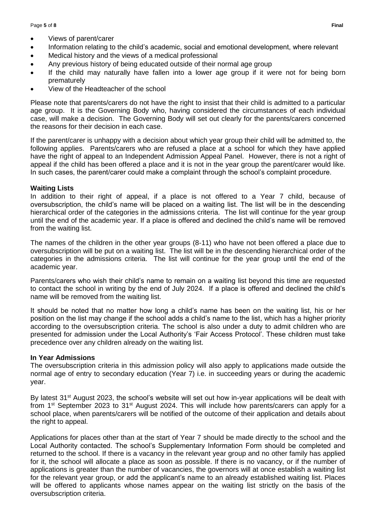- Views of parent/carer
- Information relating to the child's academic, social and emotional development, where relevant
- Medical history and the views of a medical professional
- Any previous history of being educated outside of their normal age group
- If the child may naturally have fallen into a lower age group if it were not for being born prematurely
- View of the Headteacher of the school

Please note that parents/carers do not have the right to insist that their child is admitted to a particular age group. It is the Governing Body who, having considered the circumstances of each individual case, will make a decision. The Governing Body will set out clearly for the parents/carers concerned the reasons for their decision in each case.

If the parent/carer is unhappy with a decision about which year group their child will be admitted to, the following applies. Parents/carers who are refused a place at a school for which they have applied have the right of appeal to an Independent Admission Appeal Panel. However, there is not a right of appeal if the child has been offered a place and it is not in the year group the parent/carer would like. In such cases, the parent/carer could make a complaint through the school's complaint procedure.

#### **Waiting Lists**

In addition to their right of appeal, if a place is not offered to a Year 7 child, because of oversubscription, the child's name will be placed on a waiting list. The list will be in the descending hierarchical order of the categories in the admissions criteria. The list will continue for the year group until the end of the academic year. If a place is offered and declined the child's name will be removed from the waiting list.

The names of the children in the other year groups (8-11) who have not been offered a place due to oversubscription will be put on a waiting list. The list will be in the descending hierarchical order of the categories in the admissions criteria. The list will continue for the year group until the end of the academic year.

Parents/carers who wish their child's name to remain on a waiting list beyond this time are requested to contact the school in writing by the end of July 2024. If a place is offered and declined the child's name will be removed from the waiting list.

It should be noted that no matter how long a child's name has been on the waiting list, his or her position on the list may change if the school adds a child's name to the list, which has a higher priority according to the oversubscription criteria. The school is also under a duty to admit children who are presented for admission under the Local Authority's 'Fair Access Protocol'. These children must take precedence over any children already on the waiting list.

#### **In Year Admissions**

The oversubscription criteria in this admission policy will also apply to applications made outside the normal age of entry to secondary education (Year 7) i.e. in succeeding years or during the academic year.

By latest 31<sup>st</sup> August 2023, the school's website will set out how in-year applications will be dealt with from 1<sup>st</sup> September 2023 to 31<sup>st</sup> August 2024. This will include how parents/carers can apply for a school place, when parents/carers will be notified of the outcome of their application and details about the right to appeal.

Applications for places other than at the start of Year 7 should be made directly to the school and the Local Authority contacted. The school's Supplementary Information Form should be completed and returned to the school. If there is a vacancy in the relevant year group and no other family has applied for it, the school will allocate a place as soon as possible. If there is no vacancy, or if the number of applications is greater than the number of vacancies, the governors will at once establish a waiting list for the relevant year group, or add the applicant's name to an already established waiting list. Places will be offered to applicants whose names appear on the waiting list strictly on the basis of the oversubscription criteria.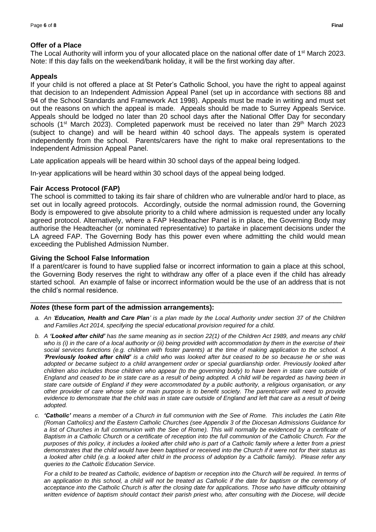#### **Offer of a Place**

The Local Authority will inform you of your allocated place on the national offer date of 1<sup>st</sup> March 2023. Note: If this day falls on the weekend/bank holiday, it will be the first working day after.

#### **Appeals**

If your child is not offered a place at St Peter's Catholic School, you have the right to appeal against that decision to an Independent Admission Appeal Panel (set up in accordance with sections 88 and 94 of the School Standards and Framework Act 1998). Appeals must be made in writing and must set out the reasons on which the appeal is made. Appeals should be made to Surrey Appeals Service. Appeals should be lodged no later than 20 school days after the National Offer Day for secondary schools (1<sup>st</sup> March 2023). Completed paperwork must be received no later than  $29<sup>th</sup>$  March 2023 (subject to change) and will be heard within 40 school days. The appeals system is operated independently from the school. Parents/carers have the right to make oral representations to the Independent Admission Appeal Panel.

Late application appeals will be heard within 30 school days of the appeal being lodged.

In-year applications will be heard within 30 school days of the appeal being lodged.

#### **Fair Access Protocol (FAP)**

The school is committed to taking its fair share of children who are vulnerable and/or hard to place, as set out in locally agreed protocols. Accordingly, outside the normal admission round, the Governing Body is empowered to give absolute priority to a child where admission is requested under any locally agreed protocol. Alternatively, where a FAP Headteacher Panel is in place, the Governing Body may authorise the Headteacher (or nominated representative) to partake in placement decisions under the LA agreed FAP. The Governing Body has this power even where admitting the child would mean exceeding the Published Admission Number.

#### **Giving the School False Information**

If a parent/carer is found to have supplied false or incorrect information to gain a place at this school, the Governing Body reserves the right to withdraw any offer of a place even if the child has already started school. An example of false or incorrect information would be the use of an address that is not the child's normal residence.

\_\_\_\_\_\_\_\_\_\_\_\_\_\_\_\_\_\_\_\_\_\_\_\_\_\_\_\_\_\_\_\_\_\_\_\_\_\_\_\_\_\_\_\_\_\_\_\_\_\_\_\_\_\_\_\_\_\_\_\_\_\_\_\_\_\_\_\_\_\_\_\_\_\_

#### *Notes* **(these form part of the admission arrangements):**

- *a. An 'Education, Health and Care Plan' is a plan made by the Local Authority under section 37 of the Children and Families Act 2014, specifying the special educational provision required for a child.*
- *b. A 'Looked after child' has the same meaning as in section 22(1) of the Children Act 1989, and means any child who is (i) in the care of a local authority or (ii) being provided with accommodation by them in the exercise of their social services functions (e.g. children with foster parents) at the time of making application to the school. A 'Previously looked after child' is a child who was looked after but ceased to be so because he or she was adopted or became subject to a child arrangement order or special guardianship order. Previously looked after children also includes those children who appear (to the governing body) to have been in state care outside of England and ceased to be in state care as a result of being adopted. A child will be regarded as having been in state care outside of England if they were accommodated by a public authority, a religious organisation, or any other provider of care whose sole or main purpose is to benefit society. The parent/carer will need to provide evidence to demonstrate that the child was in state care outside of England and left that care as a result of being adopted.*
- *c. 'Catholic' means a member of a Church in full communion with the See of Rome. This includes the Latin Rite (Roman Catholics) and the Eastern Catholic Churches (see Appendix 3 of the Diocesan Admissions Guidance for a list of Churches in full communion with the See of Rome). This will normally be evidenced by a certificate of Baptism in a Catholic Church or a certificate of reception into the full communion of the Catholic Church. For the purposes of this policy, it includes a looked after child who is part of a Catholic family where a letter from a priest demonstrates that the child would have been baptised or received into the Church if it were not for their status as a looked after child (e.g. a looked after child in the process of adoption by a Catholic family). Please refer any queries to the Catholic Education Service.*

*For a child to be treated as Catholic, evidence of baptism or reception into the Church will be required. In terms of an application to this school, a child will not be treated as Catholic if the date for baptism or the ceremony of acceptance into the Catholic Church is after the closing date for applications. Those who have difficulty obtaining*  written evidence of baptism should contact their parish priest who, after consulting with the Diocese, will decide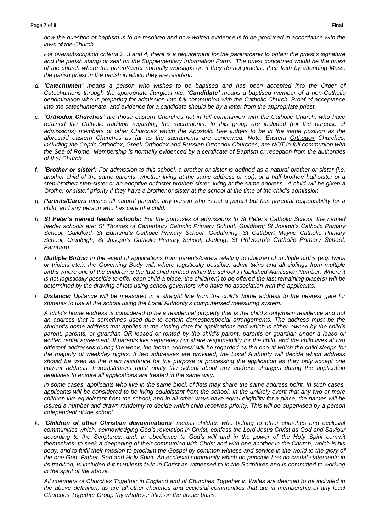*how the question of baptism is to be resolved and how written evidence is to be produced in accordance with the laws of the Church.* 

*For oversubscription criteria 2, 3 and 4, there is a requirement for the parent/carer to obtain the priest's signature and the parish stamp or seal on the Supplementary Information Form. The priest concerned would be the priest of the church where the parent/carer normally worships or, if they do not practise their faith by attending Mass, the parish priest in the parish in which they are resident.*

- *d. 'Catechumen' means a person who wishes to be baptised and has been accepted into the Order of Catechumens through the appropriate liturgical rite. 'Candidate' means a baptised member of a non-Catholic denomination who is preparing for admission into full communion with the Catholic Church. Proof of acceptance into the catechumenate, and evidence for a candidate should be by a letter from the appropriate priest.*
- *e. 'Orthodox Churches' are those eastern Churches not in full communion with the Catholic Church, who have retained the Catholic tradition regarding the sacraments. In this group are included (for the purpose of admissions) members of other Churches which the Apostolic See judges to be in the same position as the aforesaid eastern Churches as far as the sacraments are concerned. Note: Eastern Orthodox Churches, including the Coptic Orthodox, Greek Orthodox and Russian Orthodox Churches, are NOT in full communion with the See of Rome. Membership is normally evidenced by a certificate of Baptism or reception from the authorities of that Church.*
- *f. 'Brother or sister': For admission to this school, a brother or sister is defined as a natural brother or sister (i.e. another child of the same parents, whether living at the same address or not), or a half-brother/ half-sister or a step-brother/ step-sister or an adoptive or foster brother/ sister, living at the same address. A child will be given a 'brother or sister' priority if they have a brother or sister at the school at the time of the child's admission.*
- *g. Parents/Carers means all natural parents, any person who is not a parent but has parental responsibility for a child, and any person who has care of a child.*
- *h. St Peter's named feeder schools: For the purposes of admissions to St Peter's Catholic School, the named feeder schools are: St Thomas of Canterbury Catholic Primary School, Guildford; St Joseph's Catholic Primary School, Guildford; St Edmund's Catholic Primary School, Godalming; St Cuthbert Mayne Catholic Primary School, Cranleigh, St Joseph's Catholic Primary School, Dorking; St Polycarp's Catholic Primary School, Farnham.*
- *i. Multiple Births: In the event of applications from parents/carers relating to children of multiple births (e.g. twins or triplets etc.), the Governing Body will, where logistically possible, admit twins and all siblings from multiple births where one of the children is the last child ranked within the school's Published Admission Number. Where it is not logistically possible to offer each child a place, the child(ren) to be offered the last remaining place(s) will be determined by the drawing of lots using school governors who have no association with the applicants.*
- *j. Distance: Distance will be measured in a straight line from the child's home address to the nearest gate for students to use at the school using the Local Authority's computerised measuring system.*

*A child's home address is considered to be a residential property that is the child's only/main residence and not*  an address that is sometimes used due to certain domestic/special arrangements. The address must be the *student's home address that applies at the closing date for applications and which is either owned by the child's parent, parents, or guardian OR leased or rented by the child's parent, parents or guardian under a lease or written rental agreement. If parents live separately but share responsibility for the child, and the child lives at two different addresses during the week, the 'home address' will be regarded as the one at which the child sleeps for the majority of weekday nights. If two addresses are provided, the Local Authority will decide which address should be used as the main residence for the purpose of processing the application as they only accept one current address. Parents/carers must notify the school about any address changes during the application deadlines to ensure all applications are treated in the same way.*

*In some cases, applicants who live in the same block of flats may share the same address point. In such cases, applicants will be considered to be living equidistant from the school. In the unlikely event that any two or more children live equidistant from the school, and in all other ways have equal eligibility for a place, the names will be issued a number and drawn randomly to decide which child receives priority. This will be supervised by a person independent of the school.*

*k. 'Children of other Christian denominations' means children who belong to other churches and ecclesial communities which, acknowledging God's revelation in Christ, confess the Lord Jesus Christ as God and Saviour*  according to the Scriptures, and, in obedience to God's will and in the power of the Holy Spirit commit *themselves: to seek a deepening of their communion with Christ and with one another in the Church, which is his body; and to fulfil their mission to proclaim the Gospel by common witness and service in the world to the glory of the one God, Father, Son and Holy Spirit. An ecclesial community which on principle has no credal statements in its tradition, is included if it manifests faith in Christ as witnessed to in the Scriptures and is committed to working in the spirit of the above.* 

*All members of Churches Together in England and of Churches Together in Wales are deemed to be included in the above definition, as are all other churches and ecclesial communities that are in membership of any local Churches Together Group (by whatever title) on the above basis.*